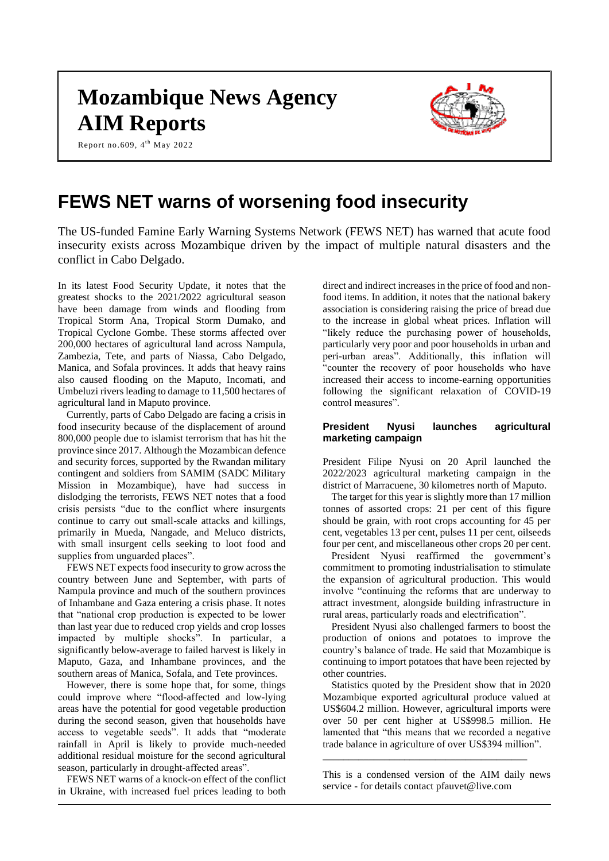# **Mozambique News Agency AIM Reports**

Report no.609,  $4^{\text{th}}$  May 2022



# **FEWS NET warns of worsening food insecurity**

The US-funded Famine Early Warning Systems Network (FEWS NET) has warned that acute food insecurity exists across Mozambique driven by the impact of multiple natural disasters and the conflict in Cabo Delgado.

In its latest Food Security Update, it notes that the greatest shocks to the 2021/2022 agricultural season have been damage from winds and flooding from Tropical Storm Ana, Tropical Storm Dumako, and Tropical Cyclone Gombe. These storms affected over 200,000 hectares of agricultural land across Nampula, Zambezia, Tete, and parts of Niassa, Cabo Delgado, Manica, and Sofala provinces. It adds that heavy rains also caused flooding on the Maputo, Incomati, and Umbeluzi rivers leading to damage to 11,500 hectares of agricultural land in Maputo province.

Currently, parts of Cabo Delgado are facing a crisis in food insecurity because of the displacement of around 800,000 people due to islamist terrorism that has hit the province since 2017. Although the Mozambican defence and security forces, supported by the Rwandan military contingent and soldiers from SAMIM (SADC Military Mission in Mozambique), have had success in dislodging the terrorists, FEWS NET notes that a food crisis persists "due to the conflict where insurgents continue to carry out small-scale attacks and killings, primarily in Mueda, Nangade, and Meluco districts, with small insurgent cells seeking to loot food and supplies from unguarded places".

FEWS NET expects food insecurity to grow across the country between June and September, with parts of Nampula province and much of the southern provinces of Inhambane and Gaza entering a crisis phase. It notes that "national crop production is expected to be lower than last year due to reduced crop yields and crop losses impacted by multiple shocks". In particular, a significantly below-average to failed harvest is likely in Maputo, Gaza, and Inhambane provinces, and the southern areas of Manica, Sofala, and Tete provinces.

However, there is some hope that, for some, things could improve where "flood-affected and low-lying areas have the potential for good vegetable production during the second season, given that households have access to vegetable seeds". It adds that "moderate rainfall in April is likely to provide much-needed additional residual moisture for the second agricultural season, particularly in drought-affected areas".

FEWS NET warns of a knock-on effect of the conflict in Ukraine, with increased fuel prices leading to both

direct and indirect increases in the price of food and nonfood items. In addition, it notes that the national bakery association is considering raising the price of bread due to the increase in global wheat prices. Inflation will "likely reduce the purchasing power of households, particularly very poor and poor households in urban and peri-urban areas". Additionally, this inflation will "counter the recovery of poor households who have increased their access to income-earning opportunities following the significant relaxation of COVID-19 control measures".

# **President Nyusi launches agricultural marketing campaign**

President Filipe Nyusi on 20 April launched the 2022/2023 agricultural marketing campaign in the district of Marracuene, 30 kilometres north of Maputo.

The target for this year is slightly more than 17 million tonnes of assorted crops: 21 per cent of this figure should be grain, with root crops accounting for 45 per cent, vegetables 13 per cent, pulses 11 per cent, oilseeds four per cent, and miscellaneous other crops 20 per cent.

President Nyusi reaffirmed the government's commitment to promoting industrialisation to stimulate the expansion of agricultural production. This would involve "continuing the reforms that are underway to attract investment, alongside building infrastructure in rural areas, particularly roads and electrification".

President Nyusi also challenged farmers to boost the production of onions and potatoes to improve the country's balance of trade. He said that Mozambique is continuing to import potatoes that have been rejected by other countries.

Statistics quoted by the President show that in 2020 Mozambique exported agricultural produce valued at US\$604.2 million. However, agricultural imports were over 50 per cent higher at US\$998.5 million. He lamented that "this means that we recorded a negative trade balance in agriculture of over US\$394 million".

This is a condensed version of the AIM daily news service - for details contact pfauvet@live.com

\_\_\_\_\_\_\_\_\_\_\_\_\_\_\_\_\_\_\_\_\_\_\_\_\_\_\_\_\_\_\_\_\_\_\_\_\_\_\_\_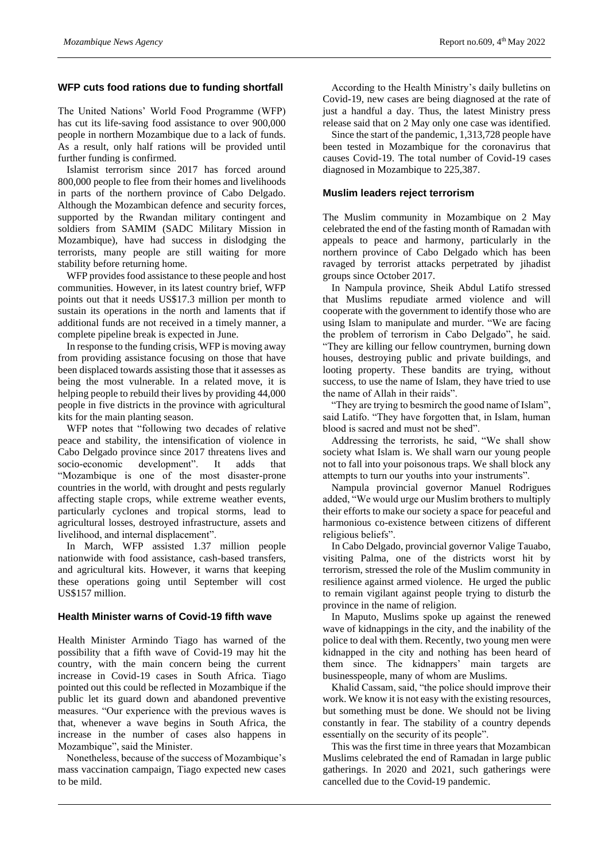# **WFP cuts food rations due to funding shortfall**

The United Nations' World Food Programme (WFP) has cut its life-saving food assistance to over 900,000 people in northern Mozambique due to a lack of funds. As a result, only half rations will be provided until further funding is confirmed.

Islamist terrorism since 2017 has forced around 800,000 people to flee from their homes and livelihoods in parts of the northern province of Cabo Delgado. Although the Mozambican defence and security forces, supported by the Rwandan military contingent and soldiers from SAMIM (SADC Military Mission in Mozambique), have had success in dislodging the terrorists, many people are still waiting for more stability before returning home.

WFP provides food assistance to these people and host communities. However, in its latest country brief, WFP points out that it needs US\$17.3 million per month to sustain its operations in the north and laments that if additional funds are not received in a timely manner, a complete pipeline break is expected in June.

In response to the funding crisis, WFP is moving away from providing assistance focusing on those that have been displaced towards assisting those that it assesses as being the most vulnerable. In a related move, it is helping people to rebuild their lives by providing 44,000 people in five districts in the province with agricultural kits for the main planting season.

WFP notes that "following two decades of relative peace and stability, the intensification of violence in Cabo Delgado province since 2017 threatens lives and socio-economic development". It adds that "Mozambique is one of the most disaster-prone countries in the world, with drought and pests regularly affecting staple crops, while extreme weather events, particularly cyclones and tropical storms, lead to agricultural losses, destroyed infrastructure, assets and livelihood, and internal displacement".

In March, WFP assisted 1.37 million people nationwide with food assistance, cash-based transfers, and agricultural kits. However, it warns that keeping these operations going until September will cost US\$157 million.

#### **Health Minister warns of Covid-19 fifth wave**

Health Minister Armindo Tiago has warned of the possibility that a fifth wave of Covid-19 may hit the country, with the main concern being the current increase in Covid-19 cases in South Africa. Tiago pointed out this could be reflected in Mozambique if the public let its guard down and abandoned preventive measures. "Our experience with the previous waves is that, whenever a wave begins in South Africa, the increase in the number of cases also happens in Mozambique", said the Minister.

Nonetheless, because of the success of Mozambique's mass vaccination campaign, Tiago expected new cases to be mild.

According to the Health Ministry's daily bulletins on Covid-19, new cases are being diagnosed at the rate of just a handful a day. Thus, the latest Ministry press release said that on 2 May only one case was identified.

Since the start of the pandemic, 1,313,728 people have been tested in Mozambique for the coronavirus that causes Covid-19. The total number of Covid-19 cases diagnosed in Mozambique to 225,387.

#### **Muslim leaders reject terrorism**

The Muslim community in Mozambique on 2 May celebrated the end of the fasting month of Ramadan with appeals to peace and harmony, particularly in the northern province of Cabo Delgado which has been ravaged by terrorist attacks perpetrated by jihadist groups since October 2017.

In Nampula province, Sheik Abdul Latifo stressed that Muslims repudiate armed violence and will cooperate with the government to identify those who are using Islam to manipulate and murder. "We are facing the problem of terrorism in Cabo Delgado", he said. "They are killing our fellow countrymen, burning down houses, destroying public and private buildings, and looting property. These bandits are trying, without success, to use the name of Islam, they have tried to use the name of Allah in their raids".

"They are trying to besmirch the good name of Islam", said Latifo. "They have forgotten that, in Islam, human blood is sacred and must not be shed".

Addressing the terrorists, he said, "We shall show society what Islam is. We shall warn our young people not to fall into your poisonous traps. We shall block any attempts to turn our youths into your instruments".

Nampula provincial governor Manuel Rodrigues added, "We would urge our Muslim brothers to multiply their efforts to make our society a space for peaceful and harmonious co-existence between citizens of different religious beliefs".

In Cabo Delgado, provincial governor Valige Tauabo, visiting Palma, one of the districts worst hit by terrorism, stressed the role of the Muslim community in resilience against armed violence. He urged the public to remain vigilant against people trying to disturb the province in the name of religion.

In Maputo, Muslims spoke up against the renewed wave of kidnappings in the city, and the inability of the police to deal with them. Recently, two young men were kidnapped in the city and nothing has been heard of them since. The kidnappers' main targets are businesspeople, many of whom are Muslims.

Khalid Cassam, said, "the police should improve their work. We know it is not easy with the existing resources, but something must be done. We should not be living constantly in fear. The stability of a country depends essentially on the security of its people".

This was the first time in three years that Mozambican Muslims celebrated the end of Ramadan in large public gatherings. In 2020 and 2021, such gatherings were cancelled due to the Covid-19 pandemic.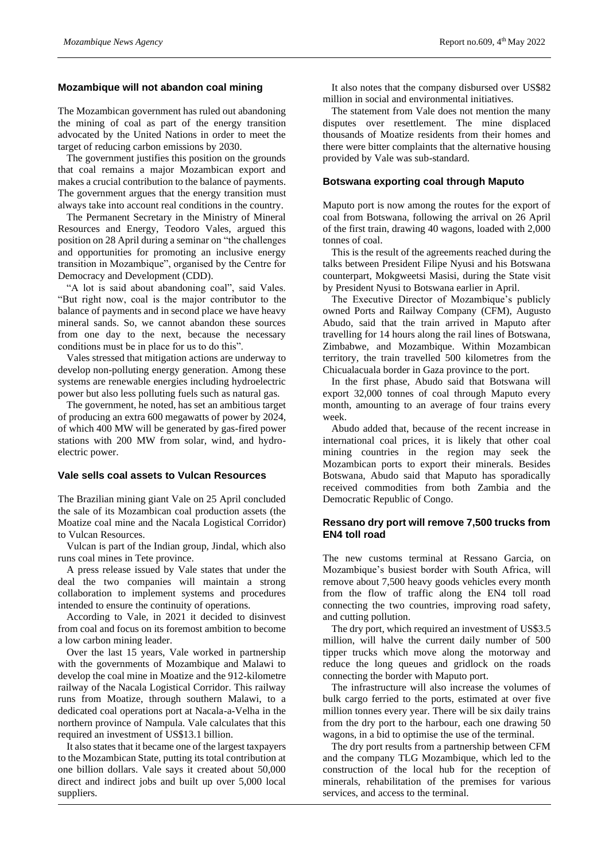#### **Mozambique will not abandon coal mining**

The Mozambican government has ruled out abandoning the mining of coal as part of the energy transition advocated by the United Nations in order to meet the target of reducing carbon emissions by 2030.

The government justifies this position on the grounds that coal remains a major Mozambican export and makes a crucial contribution to the balance of payments. The government argues that the energy transition must always take into account real conditions in the country.

The Permanent Secretary in the Ministry of Mineral Resources and Energy, Teodoro Vales, argued this position on 28 April during a seminar on "the challenges and opportunities for promoting an inclusive energy transition in Mozambique", organised by the Centre for Democracy and Development (CDD).

"A lot is said about abandoning coal", said Vales. "But right now, coal is the major contributor to the balance of payments and in second place we have heavy mineral sands. So, we cannot abandon these sources from one day to the next, because the necessary conditions must be in place for us to do this".

Vales stressed that mitigation actions are underway to develop non-polluting energy generation. Among these systems are renewable energies including hydroelectric power but also less polluting fuels such as natural gas.

The government, he noted, has set an ambitious target of producing an extra 600 megawatts of power by 2024, of which 400 MW will be generated by gas-fired power stations with 200 MW from solar, wind, and hydroelectric power.

#### **Vale sells coal assets to Vulcan Resources**

The Brazilian mining giant Vale on 25 April concluded the sale of its Mozambican coal production assets (the Moatize coal mine and the Nacala Logistical Corridor) to Vulcan Resources.

Vulcan is part of the Indian group, Jindal, which also runs coal mines in Tete province.

A press release issued by Vale states that under the deal the two companies will maintain a strong collaboration to implement systems and procedures intended to ensure the continuity of operations.

According to Vale, in 2021 it decided to disinvest from coal and focus on its foremost ambition to become a low carbon mining leader.

Over the last 15 years, Vale worked in partnership with the governments of Mozambique and Malawi to develop the coal mine in Moatize and the 912-kilometre railway of the Nacala Logistical Corridor. This railway runs from Moatize, through southern Malawi, to a dedicated coal operations port at Nacala-a-Velha in the northern province of Nampula. Vale calculates that this required an investment of US\$13.1 billion.

It also states that it became one of the largest taxpayers to the Mozambican State, putting its total contribution at one billion dollars. Vale says it created about 50,000 direct and indirect jobs and built up over 5,000 local suppliers.

It also notes that the company disbursed over US\$82 million in social and environmental initiatives.

The statement from Vale does not mention the many disputes over resettlement. The mine displaced thousands of Moatize residents from their homes and there were bitter complaints that the alternative housing provided by Vale was sub-standard.

#### **Botswana exporting coal through Maputo**

Maputo port is now among the routes for the export of coal from Botswana, following the arrival on 26 April of the first train, drawing 40 wagons, loaded with 2,000 tonnes of coal.

This is the result of the agreements reached during the talks between President Filipe Nyusi and his Botswana counterpart, Mokgweetsi Masisi, during the State visit by President Nyusi to Botswana earlier in April.

The Executive Director of Mozambique's publicly owned Ports and Railway Company (CFM), Augusto Abudo, said that the train arrived in Maputo after travelling for 14 hours along the rail lines of Botswana, Zimbabwe, and Mozambique. Within Mozambican territory, the train travelled 500 kilometres from the Chicualacuala border in Gaza province to the port.

In the first phase, Abudo said that Botswana will export 32,000 tonnes of coal through Maputo every month, amounting to an average of four trains every week.

Abudo added that, because of the recent increase in international coal prices, it is likely that other coal mining countries in the region may seek the Mozambican ports to export their minerals. Besides Botswana, Abudo said that Maputo has sporadically received commodities from both Zambia and the Democratic Republic of Congo.

# **Ressano dry port will remove 7,500 trucks from EN4 toll road**

The new customs terminal at Ressano Garcia, on Mozambique's busiest border with South Africa, will remove about 7,500 heavy goods vehicles every month from the flow of traffic along the EN4 toll road connecting the two countries, improving road safety, and cutting pollution.

The dry port, which required an investment of US\$3.5 million, will halve the current daily number of 500 tipper trucks which move along the motorway and reduce the long queues and gridlock on the roads connecting the border with Maputo port.

The infrastructure will also increase the volumes of bulk cargo ferried to the ports, estimated at over five million tonnes every year. There will be six daily trains from the dry port to the harbour, each one drawing 50 wagons, in a bid to optimise the use of the terminal.

The dry port results from a partnership between CFM and the company TLG Mozambique, which led to the construction of the local hub for the reception of minerals, rehabilitation of the premises for various services, and access to the terminal.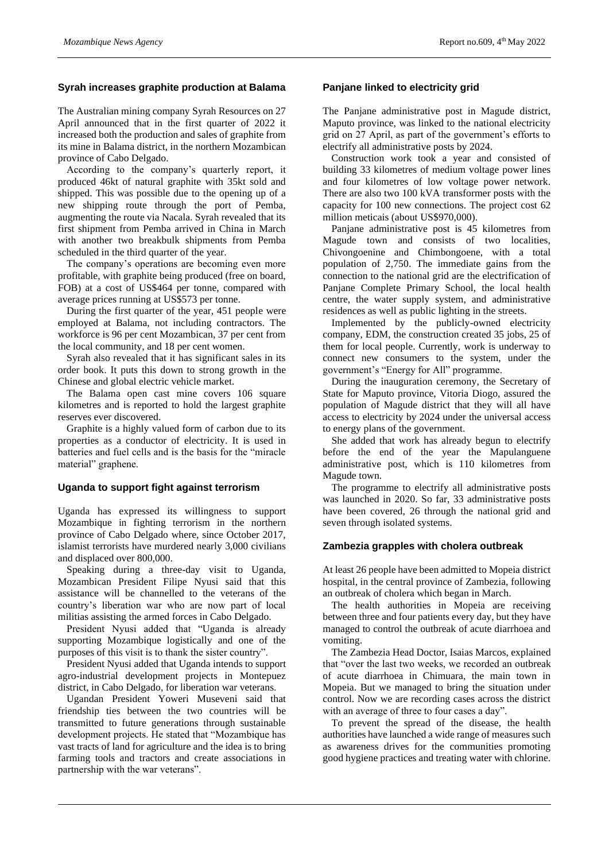# **Syrah increases graphite production at Balama**

The Australian mining company Syrah Resources on 27 April announced that in the first quarter of 2022 it increased both the production and sales of graphite from its mine in Balama district, in the northern Mozambican province of Cabo Delgado.

According to the company's quarterly report, it produced 46kt of natural graphite with 35kt sold and shipped. This was possible due to the opening up of a new shipping route through the port of Pemba, augmenting the route via Nacala. Syrah revealed that its first shipment from Pemba arrived in China in March with another two breakbulk shipments from Pemba scheduled in the third quarter of the year.

The company's operations are becoming even more profitable, with graphite being produced (free on board, FOB) at a cost of US\$464 per tonne, compared with average prices running at US\$573 per tonne.

During the first quarter of the year, 451 people were employed at Balama, not including contractors. The workforce is 96 per cent Mozambican, 37 per cent from the local community, and 18 per cent women.

Syrah also revealed that it has significant sales in its order book. It puts this down to strong growth in the Chinese and global electric vehicle market.

The Balama open cast mine covers 106 square kilometres and is reported to hold the largest graphite reserves ever discovered.

Graphite is a highly valued form of carbon due to its properties as a conductor of electricity. It is used in batteries and fuel cells and is the basis for the "miracle material" graphene.

#### **Uganda to support fight against terrorism**

Uganda has expressed its willingness to support Mozambique in fighting terrorism in the northern province of Cabo Delgado where, since October 2017, islamist terrorists have murdered nearly 3,000 civilians and displaced over 800,000.

Speaking during a three-day visit to Uganda, Mozambican President Filipe Nyusi said that this assistance will be channelled to the veterans of the country's liberation war who are now part of local militias assisting the armed forces in Cabo Delgado.

President Nyusi added that "Uganda is already supporting Mozambique logistically and one of the purposes of this visit is to thank the sister country".

President Nyusi added that Uganda intends to support agro-industrial development projects in Montepuez district, in Cabo Delgado, for liberation war veterans.

Ugandan President Yoweri Museveni said that friendship ties between the two countries will be transmitted to future generations through sustainable development projects. He stated that "Mozambique has vast tracts of land for agriculture and the idea is to bring farming tools and tractors and create associations in partnership with the war veterans".

#### **Panjane linked to electricity grid**

The Panjane administrative post in Magude district, Maputo province, was linked to the national electricity grid on 27 April, as part of the government's efforts to electrify all administrative posts by 2024.

Construction work took a year and consisted of building 33 kilometres of medium voltage power lines and four kilometres of low voltage power network. There are also two 100 kVA transformer posts with the capacity for 100 new connections. The project cost 62 million meticais (about US\$970,000).

Panjane administrative post is 45 kilometres from Magude town and consists of two localities, Chivongoenine and Chimbongoene, with a total population of 2,750. The immediate gains from the connection to the national grid are the electrification of Panjane Complete Primary School, the local health centre, the water supply system, and administrative residences as well as public lighting in the streets.

Implemented by the publicly-owned electricity company, EDM, the construction created 35 jobs, 25 of them for local people. Currently, work is underway to connect new consumers to the system, under the government's "Energy for All" programme.

During the inauguration ceremony, the Secretary of State for Maputo province, Vitoria Diogo, assured the population of Magude district that they will all have access to electricity by 2024 under the universal access to energy plans of the government.

She added that work has already begun to electrify before the end of the year the Mapulanguene administrative post, which is 110 kilometres from Magude town.

The programme to electrify all administrative posts was launched in 2020. So far, 33 administrative posts have been covered, 26 through the national grid and seven through isolated systems.

#### **Zambezia grapples with cholera outbreak**

At least 26 people have been admitted to Mopeia district hospital, in the central province of Zambezia, following an outbreak of cholera which began in March.

The health authorities in Mopeia are receiving between three and four patients every day, but they have managed to control the outbreak of acute diarrhoea and vomiting.

The Zambezia Head Doctor, Isaias Marcos, explained that "over the last two weeks, we recorded an outbreak of acute diarrhoea in Chimuara, the main town in Mopeia. But we managed to bring the situation under control. Now we are recording cases across the district with an average of three to four cases a day".

To prevent the spread of the disease, the health authorities have launched a wide range of measures such as awareness drives for the communities promoting good hygiene practices and treating water with chlorine.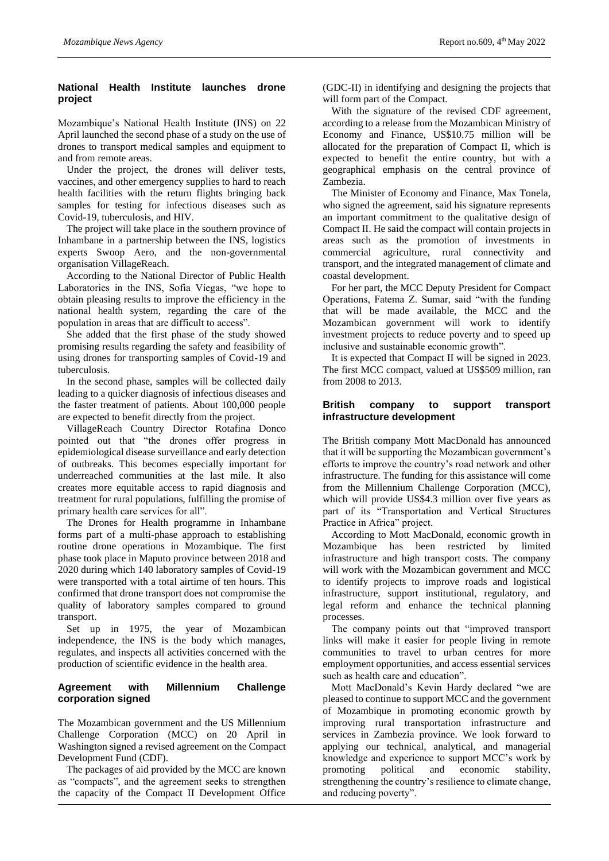# **National Health Institute launches drone project**

Mozambique's National Health Institute (INS) on 22 April launched the second phase of a study on the use of drones to transport medical samples and equipment to and from remote areas.

Under the project, the drones will deliver tests, vaccines, and other emergency supplies to hard to reach health facilities with the return flights bringing back samples for testing for infectious diseases such as Covid-19, tuberculosis, and HIV.

The project will take place in the southern province of Inhambane in a partnership between the INS, logistics experts Swoop Aero, and the non-governmental organisation VillageReach.

According to the National Director of Public Health Laboratories in the INS, Sofia Viegas, "we hope to obtain pleasing results to improve the efficiency in the national health system, regarding the care of the population in areas that are difficult to access".

She added that the first phase of the study showed promising results regarding the safety and feasibility of using drones for transporting samples of Covid-19 and tuberculosis.

In the second phase, samples will be collected daily leading to a quicker diagnosis of infectious diseases and the faster treatment of patients. About 100,000 people are expected to benefit directly from the project.

VillageReach Country Director Rotafina Donco pointed out that "the drones offer progress in epidemiological disease surveillance and early detection of outbreaks. This becomes especially important for underreached communities at the last mile. It also creates more equitable access to rapid diagnosis and treatment for rural populations, fulfilling the promise of primary health care services for all".

The Drones for Health programme in Inhambane forms part of a multi-phase approach to establishing routine drone operations in Mozambique. The first phase took place in Maputo province between 2018 and 2020 during which 140 laboratory samples of Covid-19 were transported with a total airtime of ten hours. This confirmed that drone transport does not compromise the quality of laboratory samples compared to ground transport.

Set up in 1975, the year of Mozambican independence, the INS is the body which manages, regulates, and inspects all activities concerned with the production of scientific evidence in the health area.

# **Agreement with Millennium Challenge corporation signed**

The Mozambican government and the US Millennium Challenge Corporation (MCC) on 20 April in Washington signed a revised agreement on the Compact Development Fund (CDF).

The packages of aid provided by the MCC are known as "compacts", and the agreement seeks to strengthen the capacity of the Compact II Development Office

(GDC-II) in identifying and designing the projects that will form part of the Compact.

With the signature of the revised CDF agreement, according to a release from the Mozambican Ministry of Economy and Finance, US\$10.75 million will be allocated for the preparation of Compact II, which is expected to benefit the entire country, but with a geographical emphasis on the central province of Zambezia.

The Minister of Economy and Finance, Max Tonela, who signed the agreement, said his signature represents an important commitment to the qualitative design of Compact II. He said the compact will contain projects in areas such as the promotion of investments in commercial agriculture, rural connectivity and transport, and the integrated management of climate and coastal development.

For her part, the MCC Deputy President for Compact Operations, Fatema Z. Sumar, said "with the funding that will be made available, the MCC and the Mozambican government will work to identify investment projects to reduce poverty and to speed up inclusive and sustainable economic growth".

It is expected that Compact II will be signed in 2023. The first MCC compact, valued at US\$509 million, ran from 2008 to 2013.

# **British company to support transport infrastructure development**

The British company Mott MacDonald has announced that it will be supporting the Mozambican government's efforts to improve the country's road network and other infrastructure. The funding for this assistance will come from the Millennium Challenge Corporation (MCC), which will provide US\$4.3 million over five years as part of its "Transportation and Vertical Structures Practice in Africa" project.

According to Mott MacDonald, economic growth in Mozambique has been restricted by limited infrastructure and high transport costs. The company will work with the Mozambican government and MCC to identify projects to improve roads and logistical infrastructure, support institutional, regulatory, and legal reform and enhance the technical planning processes.

The company points out that "improved transport links will make it easier for people living in remote communities to travel to urban centres for more employment opportunities, and access essential services such as health care and education".

Mott MacDonald's Kevin Hardy declared "we are pleased to continue to support MCC and the government of Mozambique in promoting economic growth by improving rural transportation infrastructure and services in Zambezia province. We look forward to applying our technical, analytical, and managerial knowledge and experience to support MCC's work by promoting political and economic stability, strengthening the country's resilience to climate change, and reducing poverty".